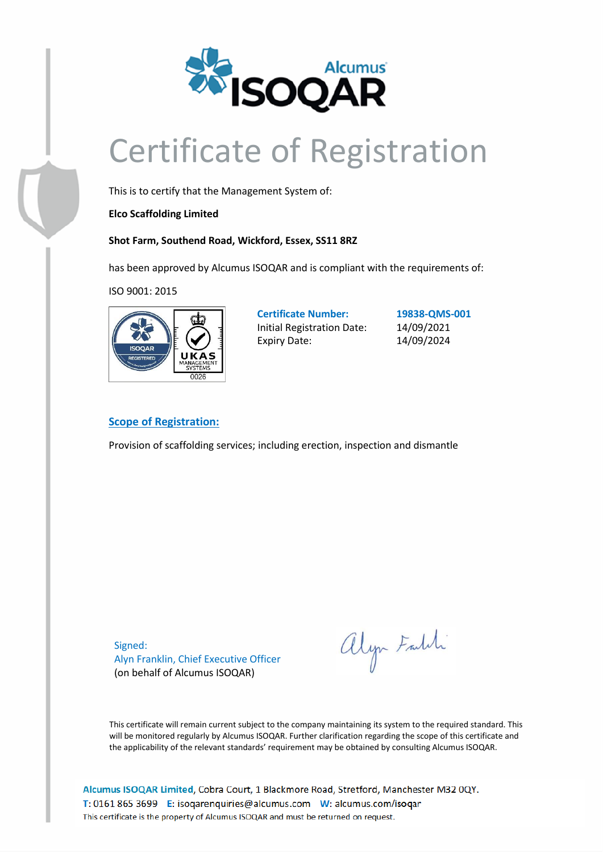

## Certificate of Registration

This is to certify that the Management System of:

**Elco Scaffolding Limited**

**Shot Farm, Southend Road, Wickford, Essex, SS11 8RZ**

has been approved by Alcumus ISOQAR and is compliant with the requirements of:

ISO 9001: 2015



**Certificate Number: 19838-QMS-001** Initial Registration Date: 14/09/2021 Expiry Date: 14/09/2024

## **Scope of Registration:**

Provision of scaffolding services; including erection, inspection and dismantle

Signed: Alyn Franklin, Chief Executive Officer (on behalf of Alcumus ISOQAR)

alyn Faldi

This certificate will remain current subject to the company maintaining its system to the required standard. This will be monitored regularly by Alcumus ISOQAR. Further clarification regarding the scope of this certificate and the applicability of the relevant standards' requirement may be obtained by consulting Alcumus ISOQAR.

Alcumus ISOQAR Limited, Cobra Court, 1 Blackmore Road, Stretford, Manchester M32 0QY. T: 0161 865 3699 E: isoqarenquiries@alcumus.com W: alcumus.com/isoqar This certificate is the property of Alcumus ISOQAR and must be returned on request.